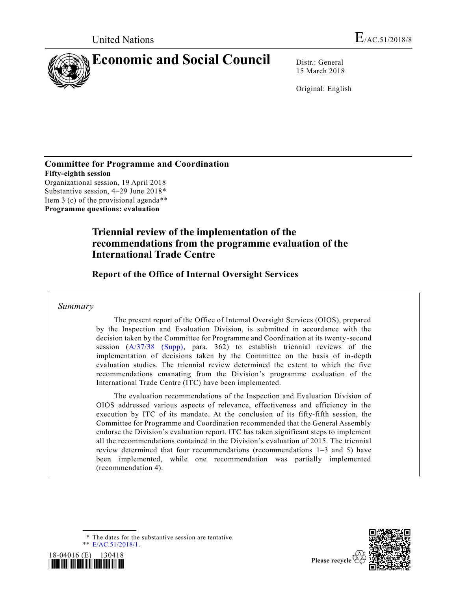

15 March 2018

Original: English

**Committee for Programme and Coordination Fifty-eighth session** Organizational session, 19 April 2018 Substantive session, 4–29 June 2018\* Item 3 (c) of the provisional agenda\*\* **Programme questions: evaluation**

# **Triennial review of the implementation of the recommendations from the programme evaluation of the International Trade Centre**

**Report of the Office of Internal Oversight Services**

## *Summary*

The present report of the Office of Internal Oversight Services (OIOS), prepared by the Inspection and Evaluation Division, is submitted in accordance with the decision taken by the Committee for Programme and Coordination at its twenty-second session [\(A/37/38 \(Supp\),](https://undocs.org/A/37/38(Supp)) para. 362) to establish triennial reviews of the implementation of decisions taken by the Committee on the basis of in-depth evaluation studies. The triennial review determined the extent to which the five recommendations emanating from the Division's programme evaluation of the International Trade Centre (ITC) have been implemented.

The evaluation recommendations of the Inspection and Evaluation Division of OIOS addressed various aspects of relevance, effectiveness and efficiency in the execution by ITC of its mandate. At the conclusion of its fifty-fifth session, the Committee for Programme and Coordination recommended that the General Assembly endorse the Division's evaluation report. ITC has taken significant steps to implement all the recommendations contained in the Division's evaluation of 2015. The triennial review determined that four recommendations (recommendations 1–3 and 5) have been implemented, while one recommendation was partially implemented (recommendation 4).

\* The dates for the substantive session are tentative. \*\* [E/AC.51/2018/1.](https://undocs.org/E/AC.51/2018/1)



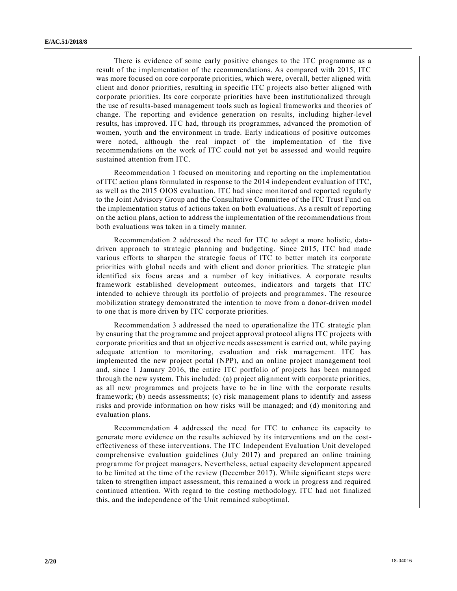There is evidence of some early positive changes to the ITC programme as a result of the implementation of the recommendations. As compared with 2015, ITC was more focused on core corporate priorities, which were, overall, better aligned with client and donor priorities, resulting in specific ITC projects also better aligned with corporate priorities. Its core corporate priorities have been institutionalized through the use of results-based management tools such as logical frameworks and theories of change. The reporting and evidence generation on results, including higher-level results, has improved. ITC had, through its programmes, advanced the promotion of women, youth and the environment in trade. Early indications of positive outcomes were noted, although the real impact of the implementation of the five recommendations on the work of ITC could not yet be assessed and would require sustained attention from ITC.

Recommendation 1 focused on monitoring and reporting on the implementation of ITC action plans formulated in response to the 2014 independent evaluation of ITC, as well as the 2015 OIOS evaluation. ITC had since monitored and reported regularly to the Joint Advisory Group and the Consultative Committee of the ITC Trust Fund on the implementation status of actions taken on both evaluations. As a result of reporting on the action plans, action to address the implementation of the recommendations from both evaluations was taken in a timely manner.

Recommendation 2 addressed the need for ITC to adopt a more holistic, data driven approach to strategic planning and budgeting. Since 2015, ITC had made various efforts to sharpen the strategic focus of ITC to better match its corporate priorities with global needs and with client and donor priorities. The strategic plan identified six focus areas and a number of key initiatives. A corporate results framework established development outcomes, indicators and targets that ITC intended to achieve through its portfolio of projects and programmes. The resource mobilization strategy demonstrated the intention to move from a donor-driven model to one that is more driven by ITC corporate priorities.

Recommendation 3 addressed the need to operationalize the ITC strategic plan by ensuring that the programme and project approval protocol aligns ITC projects with corporate priorities and that an objective needs assessment is carried out, while paying adequate attention to monitoring, evaluation and risk management. ITC has implemented the new project portal (NPP), and an online project management tool and, since 1 January 2016, the entire ITC portfolio of projects has been managed through the new system. This included: (a) project alignment with corporate priorities, as all new programmes and projects have to be in line with the corporate results framework; (b) needs assessments; (c) risk management plans to identify and assess risks and provide information on how risks will be managed; and (d) monitoring and evaluation plans.

Recommendation 4 addressed the need for ITC to enhance its capacity to generate more evidence on the results achieved by its interventions and on the costeffectiveness of these interventions. The ITC Independent Evaluation Unit developed comprehensive evaluation guidelines (July 2017) and prepared an online training programme for project managers. Nevertheless, actual capacity development appeared to be limited at the time of the review (December 2017). While significant steps were taken to strengthen impact assessment, this remained a work in progress and required continued attention. With regard to the costing methodology, ITC had not finalized this, and the independence of the Unit remained suboptimal.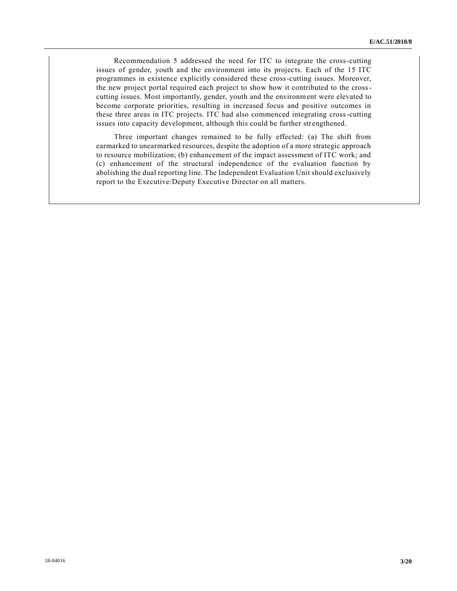Recommendation 5 addressed the need for ITC to integrate the cross-cutting issues of gender, youth and the environment into its projects. Each of the 15 ITC programmes in existence explicitly considered these cross-cutting issues. Moreover, the new project portal required each project to show how it contributed to the crosscutting issues. Most importantly, gender, youth and the environment were elevated to become corporate priorities, resulting in increased focus and positive outcomes in these three areas in ITC projects. ITC had also commenced integrating cross-cutting issues into capacity development, although this could be further strengthened.

Three important changes remained to be fully effected: (a) The shift from earmarked to unearmarked resources, despite the adoption of a more strategic approach to resource mobilization; (b) enhancement of the impact assessment of ITC work; and (c) enhancement of the structural independence of the evaluation function by abolishing the dual reporting line. The Independent Evaluation Unit should exclusively report to the Executive/Deputy Executive Director on all matters.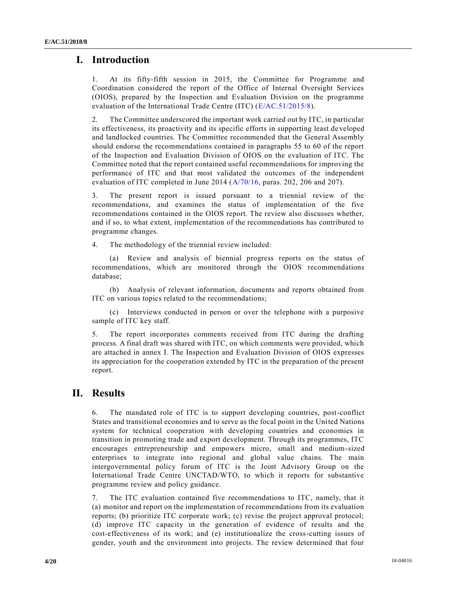## **I. Introduction**

1. At its fifty-fifth session in 2015, the Committee for Programme and Coordination considered the report of the Office of Internal Oversight Services (OIOS), prepared by the Inspection and Evaluation Division on the programme evaluation of the International Trade Centre (ITC) [\(E/AC.51/2015/8\)](https://undocs.org/E/AC.51/2015/8).

2. The Committee underscored the important work carried out by ITC, in particular its effectiveness, its proactivity and its specific efforts in supporting least de veloped and landlocked countries. The Committee recommended that the General Assembly should endorse the recommendations contained in paragraphs 55 to 60 of the report of the Inspection and Evaluation Division of OIOS on the evaluation of ITC. The Committee noted that the report contained useful recommendations for improving the performance of ITC and that most validated the outcomes of the independent evaluation of ITC completed in June 2014 [\(A/70/16,](https://undocs.org/A/70/16) paras. 202, 206 and 207).

3. The present report is issued pursuant to a triennial review of the recommendations, and examines the status of implementation of the five recommendations contained in the OIOS report. The review also discusses whether, and if so, to what extent, implementation of the recommendations has contributed to programme changes.

4. The methodology of the triennial review included:

(a) Review and analysis of biennial progress reports on the status of recommendations, which are monitored through the OIOS recommendations database;

(b) Analysis of relevant information, documents and reports obtained from ITC on various topics related to the recommendations;

(c) Interviews conducted in person or over the telephone with a purposive sample of ITC key staff.

5. The report incorporates comments received from ITC during the drafting process. A final draft was shared with ITC, on which comments were provided, which are attached in annex I. The Inspection and Evaluation Division of OIOS expresses its appreciation for the cooperation extended by ITC in the preparation of the present report.

## **II. Results**

6. The mandated role of ITC is to support developing countries, post-conflict States and transitional economies and to serve as the focal point in the United Nations system for technical cooperation with developing countries and economies in transition in promoting trade and export development. Through its programmes, ITC encourages entrepreneurship and empowers micro, small and medium-sized enterprises to integrate into regional and global value chains. The main intergovernmental policy forum of ITC is the Joint Advisory Group on the International Trade Centre UNCTAD/WTO, to which it reports for substantive programme review and policy guidance.

7. The ITC evaluation contained five recommendations to ITC, namely, that it (a) monitor and report on the implementation of recommendations from its evaluation reports; (b) prioritize ITC corporate work; (c) revise the project approval protocol; (d) improve ITC capacity in the generation of evidence of results and the cost-effectiveness of its work; and (e) institutionalize the cross-cutting issues of gender, youth and the environment into projects. The review determined that four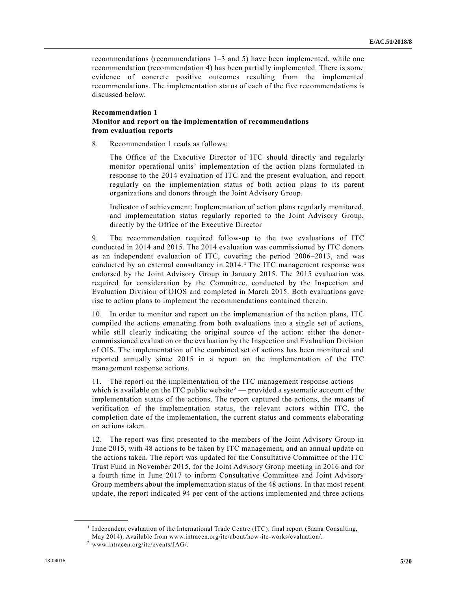recommendations (recommendations 1–3 and 5) have been implemented, while one recommendation (recommendation 4) has been partially implemented. There is some evidence of concrete positive outcomes resulting from the implemented recommendations. The implementation status of each of the five recommendations is discussed below.

## **Recommendation 1 Monitor and report on the implementation of recommendations from evaluation reports**

8. Recommendation 1 reads as follows:

The Office of the Executive Director of ITC should directly and regularly monitor operational units' implementation of the action plans formulated in response to the 2014 evaluation of ITC and the present evaluation, and report regularly on the implementation status of both action plans to its parent organizations and donors through the Joint Advisory Group.

Indicator of achievement: Implementation of action plans regularly monitored, and implementation status regularly reported to the Joint Advisory Group, directly by the Office of the Executive Director

9. The recommendation required follow-up to the two evaluations of ITC conducted in 2014 and 2015. The 2014 evaluation was commissioned by ITC donors as an independent evaluation of ITC, covering the period 2006–2013, and was conducted by an external consultancy in 2014.<sup>1</sup> The ITC management response was endorsed by the Joint Advisory Group in January 2015. The 2015 evaluation was required for consideration by the Committee, conducted by the Inspection and Evaluation Division of OIOS and completed in March 2015. Both evaluations gave rise to action plans to implement the recommendations contained therein.

10. In order to monitor and report on the implementation of the action plans, ITC compiled the actions emanating from both evaluations into a single set of actions, while still clearly indicating the original source of the action: either the donorcommissioned evaluation or the evaluation by the Inspection and Evaluation Division of OIS. The implementation of the combined set of actions has been monitored and reported annually since 2015 in a report on the implementation of the ITC management response actions.

11. The report on the implementation of the ITC management response actions which is available on the ITC public website<sup>2</sup> — provided a systematic account of the implementation status of the actions. The report captured the actions, the means of verification of the implementation status, the relevant actors within ITC, the completion date of the implementation, the current status and comments elaborating on actions taken.

12. The report was first presented to the members of the Joint Advisory Group in June 2015, with 48 actions to be taken by ITC management, and an annual update on the actions taken. The report was updated for the Consultative Committee of the ITC Trust Fund in November 2015, for the Joint Advisory Group meeting in 2016 and for a fourth time in June 2017 to inform Consultative Committee and Joint Advisory Group members about the implementation status of the 48 actions. In that most recent update, the report indicated 94 per cent of the actions implemented and three actions

<sup>&</sup>lt;sup>1</sup> Independent evaluation of the International Trade Centre (ITC): final report (Saana Consulting, May 2014). Available from www.intracen.org/itc/about/how-itc-works/evaluation/.

<sup>2</sup> www.intracen.org/itc/events/JAG/.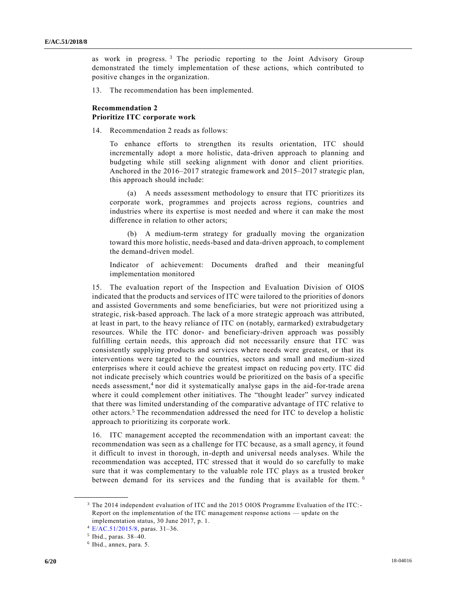as work in progress.<sup>3</sup> The periodic reporting to the Joint Advisory Group demonstrated the timely implementation of these actions, which contributed to positive changes in the organization.

13. The recommendation has been implemented.

### **Recommendation 2 Prioritize ITC corporate work**

14. Recommendation 2 reads as follows:

To enhance efforts to strengthen its results orientation, ITC should incrementally adopt a more holistic, data-driven approach to planning and budgeting while still seeking alignment with donor and client priorities. Anchored in the 2016–2017 strategic framework and 2015–2017 strategic plan, this approach should include:

(a) A needs assessment methodology to ensure that ITC prioritizes its corporate work, programmes and projects across regions, countries and industries where its expertise is most needed and where it can make the most difference in relation to other actors;

(b) A medium-term strategy for gradually moving the organization toward this more holistic, needs-based and data-driven approach, to complement the demand-driven model.

Indicator of achievement: Documents drafted and their meaningful implementation monitored

15. The evaluation report of the Inspection and Evaluation Division of OIOS indicated that the products and services of ITC were tailored to the priorities of donors and assisted Governments and some beneficiaries, but were not prioritized using a strategic, risk-based approach. The lack of a more strategic approach was attributed, at least in part, to the heavy reliance of ITC on (notably, earmarked) extrabudgetary resources. While the ITC donor- and beneficiary-driven approach was possibly fulfilling certain needs, this approach did not necessarily ensure that ITC was consistently supplying products and services where needs were greatest, or that its interventions were targeted to the countries, sectors and small and medium-sized enterprises where it could achieve the greatest impact on reducing poverty. ITC did not indicate precisely which countries would be prioritized on the basis of a specific needs assessment,<sup>4</sup> nor did it systematically analyse gaps in the aid-for-trade arena where it could complement other initiatives. The "thought leader" survey indicated that there was limited understanding of the comparative advantage of ITC relative to other actors.<sup>5</sup> The recommendation addressed the need for ITC to develop a holistic approach to prioritizing its corporate work.

16. ITC management accepted the recommendation with an important caveat: the recommendation was seen as a challenge for ITC because, as a small agency, it found it difficult to invest in thorough, in-depth and universal needs analyses. While the recommendation was accepted, ITC stressed that it would do so carefully to make sure that it was complementary to the valuable role ITC plays as a trusted broker between demand for its services and the funding that is available for them. <sup>6</sup>

<sup>3</sup> The 2014 independent evaluation of ITC and the 2015 OIOS Programme Evaluation of the ITC:- Report on the implementation of the ITC management response actions — update on the implementation status, 30 June 2017, p. 1.

<sup>4</sup> [E/AC.51/2015/8,](https://undocs.org/E/AC.51/2015/8) paras. 31–36.

<sup>5</sup> Ibid., paras. 38–40.

<sup>6</sup> Ibid., annex, para. 5.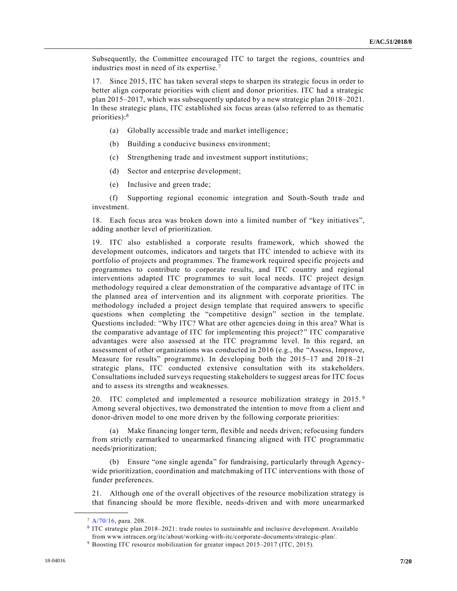Subsequently, the Committee encouraged ITC to target the regions, countries and industries most in need of its expertise.<sup>7</sup>

17. Since 2015, ITC has taken several steps to sharpen its strategic focus in order to better align corporate priorities with client and donor priorities. ITC had a strategic plan 2015–2017, which was subsequently updated by a new strategic plan 2018–2021. In these strategic plans, ITC established six focus areas (also referred to as thematic priorities):<sup>8</sup>

- (a) Globally accessible trade and market intelligence;
- (b) Building a conducive business environment;
- (c) Strengthening trade and investment support institutions;
- (d) Sector and enterprise development;
- (e) Inclusive and green trade;

(f) Supporting regional economic integration and South-South trade and investment.

18. Each focus area was broken down into a limited number of "key initiatives", adding another level of prioritization.

19. ITC also established a corporate results framework, which showed the development outcomes, indicators and targets that ITC intended to achieve with its portfolio of projects and programmes. The framework required specific projects and programmes to contribute to corporate results, and ITC country and regional interventions adapted ITC programmes to suit local needs. ITC project design methodology required a clear demonstration of the comparative advantage of ITC in the planned area of intervention and its alignment with corporate priorities. The methodology included a project design template that required answers to specific questions when completing the "competitive design" section in the template. Questions included: "Why ITC? What are other agencies doing in this area? What is the comparative advantage of ITC for implementing this project? " ITC comparative advantages were also assessed at the ITC programme level. In this regard, an assessment of other organizations was conducted in 2016 (e.g., the "Assess, Improve, Measure for results" programme). In developing both the 2015–17 and 2018–21 strategic plans, ITC conducted extensive consultation with its stakeholders. Consultations included surveys requesting stakeholders to suggest areas for ITC focus and to assess its strengths and weaknesses.

20. ITC completed and implemented a resource mobilization strategy in 2015.<sup>9</sup> Among several objectives, two demonstrated the intention to move from a client and donor-driven model to one more driven by the following corporate priorities:

(a) Make financing longer term, flexible and needs driven; refocusing funders from strictly earmarked to unearmarked financing aligned with ITC programmatic needs/prioritization;

Ensure "one single agenda" for fundraising, particularly through Agencywide prioritization, coordination and matchmaking of ITC interventions with those of funder preferences.

21. Although one of the overall objectives of the resource mobilization strategy is that financing should be more flexible, needs-driven and with more unearmarked

<sup>7</sup> [A/70/16,](https://undocs.org/a/70/16) para. 208.

<sup>8</sup> ITC strategic plan 2018–2021: trade routes to sustainable and inclusive development. Available from www.intracen.org/itc/about/working-with-itc/corporate-documents/strategic-plan/.

<sup>9</sup> Boosting ITC resource mobilization for greater impact 2015–2017 (ITC, 2015).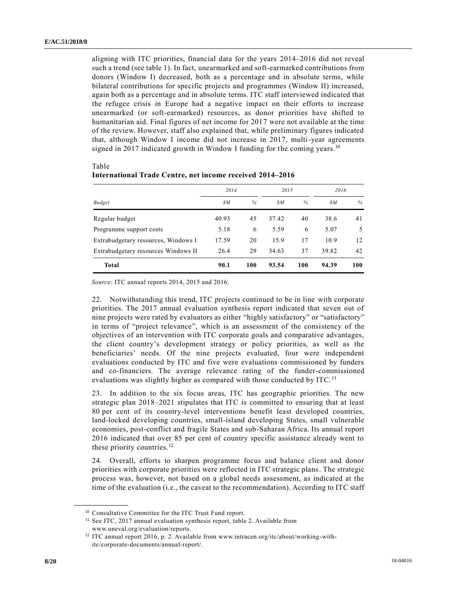Table

aligning with ITC priorities, financial data for the years 2014–2016 did not reveal such a trend (see table 1). In fact, unearmarked and soft-earmarked contributions from donors (Window I) decreased, both as a percentage and in absolute terms, while bilateral contributions for specific projects and programmes (Window II) increased, again both as a percentage and in absolute terms. ITC staff interviewed indicated that the refugee crisis in Europe had a negative impact on their efforts to increase unearmarked (or soft-earmarked) resources, as donor priorities have shifted to humanitarian aid. Final figures of net income for 2017 were not available at the time of the review. However, staff also explained that, while preliminary figures indicated that, although Window I income did not increase in 2017, multi-year agreements signed in 2017 indicated growth in Window I funding for the coming years.<sup>10</sup>

| <b>Budget</b>                       | 2014  |     | 2015  |      | 2016  |      |
|-------------------------------------|-------|-----|-------|------|-------|------|
|                                     | SΜ    | %   | SΜ    | $\%$ | SΜ    | $\%$ |
| Regular budget                      | 40.93 | 45  | 37.42 | 40   | 38.6  | 41   |
| Programme support costs             | 5.18  | 6   | 5.59  | 6    | 5.07  | 5    |
| Extrabudgetary resources, Windows I | 17.59 | 20  | 15.9  | 17   | 10.9  | 12   |
| Extrabudgetary resources Windows II | 26.4  | 29  | 34.63 | 37   | 39.82 | 42   |
| <b>Total</b>                        | 90.1  | 100 | 93.54 | 100  | 94.39 | 100  |

**International Trade Centre, net income received 2014–2016**

*Source*: ITC annual reports 2014, 2015 and 2016.

22. Notwithstanding this trend, ITC projects continued to be in line with corporate priorities. The 2017 annual evaluation synthesis report indicated that seven out of nine projects were rated by evaluators as either "highly satisfactory" or "satisfactory" in terms of "project relevance", which is an assessment of the consistency of the objectives of an intervention with ITC corporate goals and comparative advantages, the client country's development strategy or policy priorities, as well as the beneficiaries' needs. Of the nine projects evaluated, four were independent evaluations conducted by ITC and five were evaluations commissioned by funders and co-financiers. The average relevance rating of the funder-commissioned evaluations was slightly higher as compared with those conducted by ITC.<sup>11</sup>

23. In addition to the six focus areas, ITC has geographic priorities. The new strategic plan 2018–2021 stipulates that ITC is committed to ensuring that at least 80 per cent of its country-level interventions benefit least developed countries, land-locked developing countries, small-island developing States, small vulnerable economies, post-conflict and fragile States and sub-Saharan Africa. Its annual report 2016 indicated that over 85 per cent of country specific assistance already went to these priority countries. $12$ 

24. Overall, efforts to sharpen programme focus and balance client and donor priorities with corporate priorities were reflected in ITC strategic plans. The strategic process was, however, not based on a global needs assessment, as indicated at the time of the evaluation (i.e., the caveat to the recommendation). According to ITC staff

<sup>10</sup> Consultative Committee for the ITC Trust Fund report.

 $11$  See ITC, 2017 annual evaluation synthesis report, table 2. Available from www.uneval.org/evaluation/reports.

<sup>&</sup>lt;sup>12</sup> ITC annual report 2016, p. 2. Available from www.intracen.org/itc/about/working-withitc/corporate-documents/annual-report/.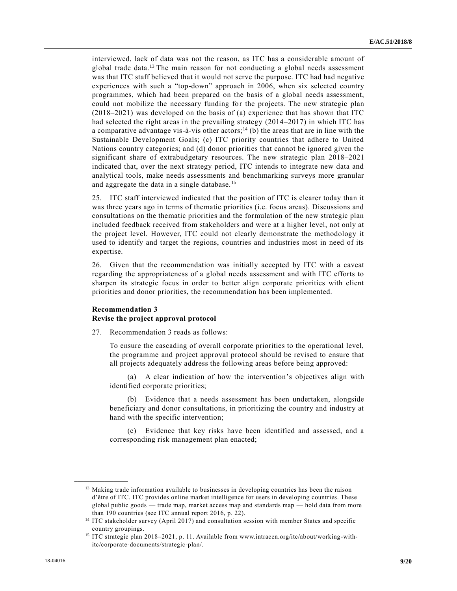interviewed, lack of data was not the reason, as ITC has a considerable amount of global trade data.<sup>13</sup> The main reason for not conducting a global needs assessment was that ITC staff believed that it would not serve the purpose. ITC had had negative experiences with such a "top-down" approach in 2006, when six selected country programmes, which had been prepared on the basis of a global needs assessment, could not mobilize the necessary funding for the projects. The new strategic plan (2018–2021) was developed on the basis of (a) experience that has shown that ITC had selected the right areas in the prevailing strategy (2014–2017) in which ITC has a comparative advantage vis-à-vis other actors;<sup>14</sup> (b) the areas that are in line with the Sustainable Development Goals; (c) ITC priority countries that adhere to United Nations country categories; and (d) donor priorities that cannot be ignored given the significant share of extrabudgetary resources. The new strategic plan 2018–2021 indicated that, over the next strategy period, ITC intends to integrate new data and analytical tools, make needs assessments and benchmarking surveys more granular and aggregate the data in a single database. <sup>15</sup>

25. ITC staff interviewed indicated that the position of ITC is clearer today than it was three years ago in terms of thematic priorities (i.e. focus areas). Discussions and consultations on the thematic priorities and the formulation of the new strategic plan included feedback received from stakeholders and were at a higher level, not only at the project level. However, ITC could not clearly demonstrate the methodology it used to identify and target the regions, countries and industries most in need of its expertise.

26. Given that the recommendation was initially accepted by ITC with a caveat regarding the appropriateness of a global needs assessment and with ITC efforts to sharpen its strategic focus in order to better align corporate priorities with client priorities and donor priorities, the recommendation has been implemented.

## **Recommendation 3 Revise the project approval protocol**

27. Recommendation 3 reads as follows:

To ensure the cascading of overall corporate priorities to the operational level, the programme and project approval protocol should be revised to ensure that all projects adequately address the following areas before being approved:

(a) A clear indication of how the intervention's objectives align with identified corporate priorities;

(b) Evidence that a needs assessment has been undertaken, alongside beneficiary and donor consultations, in prioritizing the country and industry at hand with the specific intervention;

Evidence that key risks have been identified and assessed, and a corresponding risk management plan enacted;

<sup>&</sup>lt;sup>13</sup> Making trade information available to businesses in developing countries has been the raison d'être of ITC. ITC provides online market intelligence for users in developing countries. These global public goods — trade map, market access map and standards map — hold data from more than 190 countries (see ITC annual report 2016, p. 22).

<sup>&</sup>lt;sup>14</sup> ITC stakeholder survey (April 2017) and consultation session with member States and specific country groupings.

<sup>15</sup> ITC strategic plan 2018–2021, p. 11. Available from www.intracen.org/itc/about/working-withitc/corporate-documents/strategic-plan/.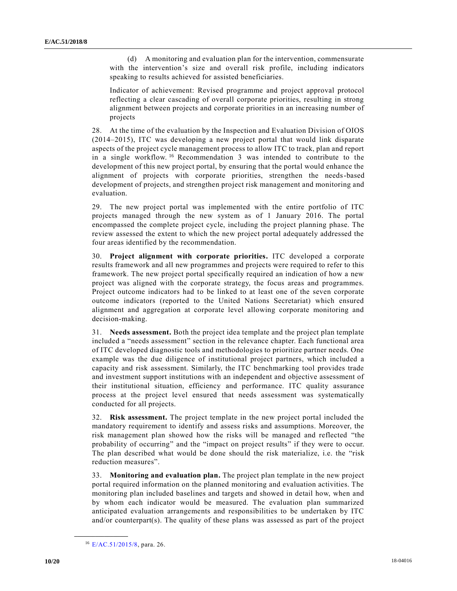(d) A monitoring and evaluation plan for the intervention, commensurate with the intervention's size and overall risk profile, including indicators speaking to results achieved for assisted beneficiaries.

Indicator of achievement: Revised programme and project approval protocol reflecting a clear cascading of overall corporate priorities, resulting in strong alignment between projects and corporate priorities in an increasing number of projects

28. At the time of the evaluation by the Inspection and Evaluation Division of OIOS (2014–2015), ITC was developing a new project portal that would link disparate aspects of the project cycle management process to allow ITC to track, plan and report in a single workflow. <sup>16</sup> Recommendation 3 was intended to contribute to the development of this new project portal, by ensuring that the portal would enhance the alignment of projects with corporate priorities, strengthen the needs-based development of projects, and strengthen project risk management and monitoring and evaluation.

29. The new project portal was implemented with the entire portfolio of ITC projects managed through the new system as of 1 January 2016. The portal encompassed the complete project cycle, including the project planning phase. The review assessed the extent to which the new project portal adequately addressed the four areas identified by the recommendation.

30. **Project alignment with corporate priorities.** ITC developed a corporate results framework and all new programmes and projects were required to refer to this framework. The new project portal specifically required an indication of how a new project was aligned with the corporate strategy, the focus areas and programmes. Project outcome indicators had to be linked to at least one of the seven corporate outcome indicators (reported to the United Nations Secretariat) which ensured alignment and aggregation at corporate level allowing corporate monitoring and decision-making.

31. **Needs assessment.** Both the project idea template and the project plan template included a "needs assessment" section in the relevance chapter. Each functional area of ITC developed diagnostic tools and methodologies to prioritize partner needs. One example was the due diligence of institutional project partners, which included a capacity and risk assessment. Similarly, the ITC benchmarking tool provides trade and investment support institutions with an independent and objective assessment of their institutional situation, efficiency and performance. ITC quality assurance process at the project level ensured that needs assessment was systematically conducted for all projects.

32. **Risk assessment.** The project template in the new project portal included the mandatory requirement to identify and assess risks and assumptions. Moreover, the risk management plan showed how the risks will be managed and reflected "the probability of occurring" and the "impact on project results" if they were to occur. The plan described what would be done should the risk materialize, i.e. the "risk reduction measures".

33. **Monitoring and evaluation plan.** The project plan template in the new project portal required information on the planned monitoring and evaluation activities. The monitoring plan included baselines and targets and showed in detail how, when and by whom each indicator would be measured. The evaluation plan summarized anticipated evaluation arrangements and responsibilities to be undertaken by ITC and/or counterpart(s). The quality of these plans was assessed as part of the project

<sup>16</sup> [E/AC.51/2015/8,](https://undocs.org/E/AC.51/2015/8) para. 26.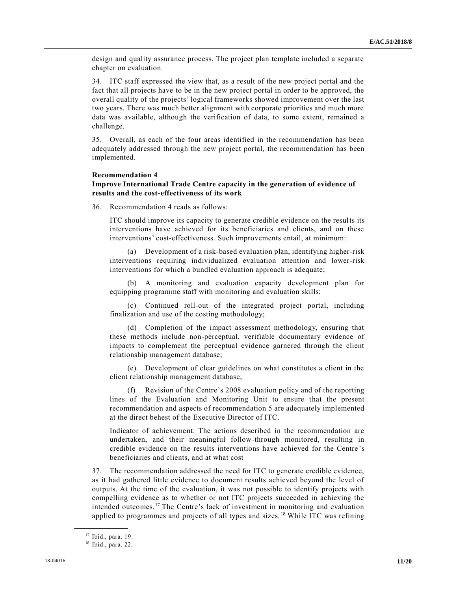design and quality assurance process. The project plan template included a separate chapter on evaluation.

34. ITC staff expressed the view that, as a result of the new project portal and the fact that all projects have to be in the new project portal in order to be approved, the overall quality of the projects' logical frameworks showed improvement over the last two years. There was much better alignment with corporate priorities and much more data was available, although the verification of data, to some extent, remained a challenge.

35. Overall, as each of the four areas identified in the recommendation has been adequately addressed through the new project portal, the recommendation has been implemented.

#### **Recommendation 4**

### **Improve International Trade Centre capacity in the generation of evidence of results and the cost-effectiveness of its work**

36. Recommendation 4 reads as follows:

ITC should improve its capacity to generate credible evidence on the results its interventions have achieved for its beneficiaries and clients, and on these interventions' cost-effectiveness. Such improvements entail, at minimum:

(a) Development of a risk-based evaluation plan, identifying higher-risk interventions requiring individualized evaluation attention and lower-risk interventions for which a bundled evaluation approach is adequate;

(b) A monitoring and evaluation capacity development plan for equipping programme staff with monitoring and evaluation skills;

(c) Continued roll-out of the integrated project portal, including finalization and use of the costing methodology;

(d) Completion of the impact assessment methodology, ensuring that these methods include non-perceptual, verifiable documentary evidence of impacts to complement the perceptual evidence garnered through the client relationship management database;

(e) Development of clear guidelines on what constitutes a client in the client relationship management database;

(f) Revision of the Centre's 2008 evaluation policy and of the reporting lines of the Evaluation and Monitoring Unit to ensure that the present recommendation and aspects of recommendation 5 are adequately implemented at the direct behest of the Executive Director of ITC.

Indicator of achievement: The actions described in the recommendation are undertaken, and their meaningful follow-through monitored, resulting in credible evidence on the results interventions have achieved for the Centre 's beneficiaries and clients, and at what cost

37. The recommendation addressed the need for ITC to generate credible evidence, as it had gathered little evidence to document results achieved beyond the level of outputs. At the time of the evaluation, it was not possible to identify projects with compelling evidence as to whether or not ITC projects succeeded in achieving the intended outcomes.<sup>17</sup> The Centre's lack of investment in monitoring and evaluation applied to programmes and projects of all types and sizes. <sup>18</sup> While ITC was refining

<sup>17</sup> Ibid., para. 19.

<sup>18</sup> Ibid., para. 22.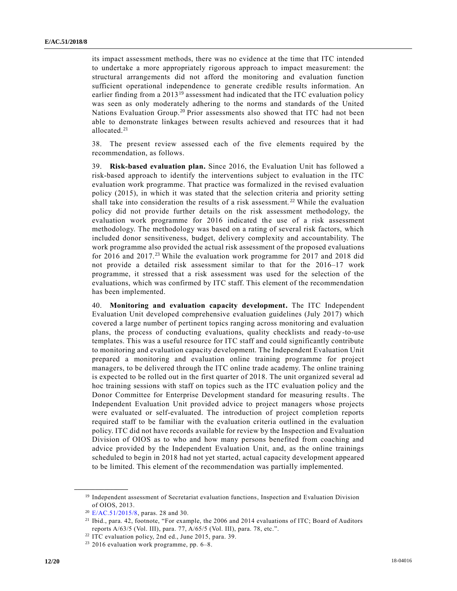its impact assessment methods, there was no evidence at the time that ITC intended to undertake a more appropriately rigorous approach to impact measurement: the structural arrangements did not afford the monitoring and evaluation function sufficient operational independence to generate credible results information. An earlier finding from a  $2013^{19}$  assessment had indicated that the ITC evaluation policy was seen as only moderately adhering to the norms and standards of the United Nations Evaluation Group.<sup>20</sup> Prior assessments also showed that ITC had not been able to demonstrate linkages between results achieved and resources that it had allocated.<sup>21</sup>

38. The present review assessed each of the five elements required by the recommendation, as follows.

39. **Risk-based evaluation plan.** Since 2016, the Evaluation Unit has followed a risk-based approach to identify the interventions subject to evaluation in the ITC evaluation work programme. That practice was formalized in the revised evaluation policy (2015), in which it was stated that the selection criteria and priority setting shall take into consideration the results of a risk assessment. <sup>22</sup> While the evaluation policy did not provide further details on the risk assessment methodology, the evaluation work programme for 2016 indicated the use of a risk assessment methodology. The methodology was based on a rating of several risk factors, which included donor sensitiveness, budget, delivery complexity and accountability. The work programme also provided the actual risk assessment of the proposed evaluations for 2016 and 2017.<sup>23</sup> While the evaluation work programme for 2017 and 2018 did not provide a detailed risk assessment similar to that for the 2016–17 work programme, it stressed that a risk assessment was used for the selection of the evaluations, which was confirmed by ITC staff. This element of the recommendation has been implemented.

40. **Monitoring and evaluation capacity development.** The ITC Independent Evaluation Unit developed comprehensive evaluation guidelines (July 2017) which covered a large number of pertinent topics ranging across monitoring and evaluation plans, the process of conducting evaluations, quality checklists and ready-to-use templates. This was a useful resource for ITC staff and could significantly contribute to monitoring and evaluation capacity development. The Independent Evaluation Unit prepared a monitoring and evaluation online training programme for project managers, to be delivered through the ITC online trade academy. The online training is expected to be rolled out in the first quarter of 2018. The unit organized several ad hoc training sessions with staff on topics such as the ITC evaluation policy and the Donor Committee for Enterprise Development standard for measuring results. The Independent Evaluation Unit provided advice to project managers whose projects were evaluated or self-evaluated. The introduction of project completion reports required staff to be familiar with the evaluation criteria outlined in the evaluation policy. ITC did not have records available for review by the Inspection and Evaluation Division of OIOS as to who and how many persons benefited from coaching and advice provided by the Independent Evaluation Unit, and, as the online trainings scheduled to begin in 2018 had not yet started, actual capacity development appeared to be limited. This element of the recommendation was partially implemented.

<sup>&</sup>lt;sup>19</sup> Independent assessment of Secretariat evaluation functions, Inspection and Evaluation Division of OIOS, 2013.

<sup>20</sup> [E/AC.51/2015/8,](https://undocs.org/E/AC.51/2015/8) paras. 28 and 30.

<sup>&</sup>lt;sup>21</sup> Ibid., para. 42, footnote, "For example, the 2006 and 2014 evaluations of ITC; Board of Auditors reports A/63/5 (Vol. III), para. 77, A/65/5 (Vol. III), para. 78, etc.".

<sup>22</sup> ITC evaluation policy, 2nd ed., June 2015, para. 39.

 $23$  2016 evaluation work programme, pp. 6–8.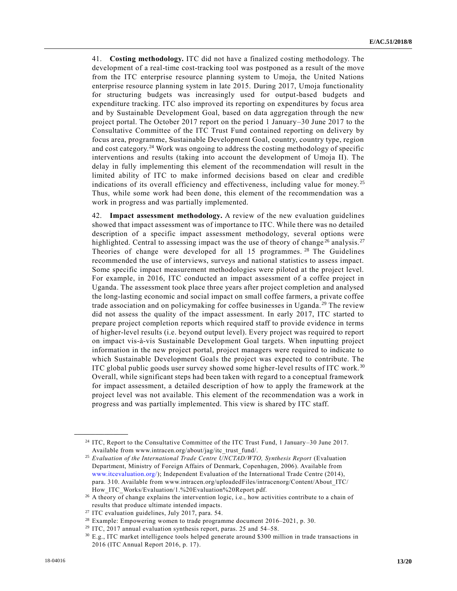41. **Costing methodology.** ITC did not have a finalized costing methodology. The development of a real-time cost-tracking tool was postponed as a result of the move from the ITC enterprise resource planning system to Umoja, the United Nations enterprise resource planning system in late 2015. During 2017, Umoja functionality for structuring budgets was increasingly used for output-based budgets and expenditure tracking. ITC also improved its reporting on expenditures by focus area and by Sustainable Development Goal, based on data aggregation through the new project portal. The October 2017 report on the period 1 January–30 June 2017 to the Consultative Committee of the ITC Trust Fund contained reporting on delivery by focus area, programme, Sustainable Development Goal, country, country type, region and cost category.<sup>24</sup> Work was ongoing to address the costing methodology of specific interventions and results (taking into account the development of Umoja II). The delay in fully implementing this element of the recommendation will result in the limited ability of ITC to make informed decisions based on clear and credible indications of its overall efficiency and effectiveness, including value for money. <sup>25</sup> Thus, while some work had been done, this element of the recommendation was a work in progress and was partially implemented.

42. **Impact assessment methodology.** A review of the new evaluation guidelines showed that impact assessment was of importance to ITC. While there was no detailed description of a specific impact assessment methodology, several options were highlighted. Central to assessing impact was the use of theory of change<sup>26</sup> analysis.<sup>27</sup> Theories of change were developed for all  $15$  programmes.<sup>28</sup> The Guidelines recommended the use of interviews, surveys and national statistics to assess impact. Some specific impact measurement methodologies were piloted at the project level. For example, in 2016, ITC conducted an impact assessment of a coffee project in Uganda. The assessment took place three years after project completion and analysed the long-lasting economic and social impact on small coffee farmers, a private coffee trade association and on policymaking for coffee businesses in Uganda. <sup>29</sup> The review did not assess the quality of the impact assessment. In early 2017, ITC started to prepare project completion reports which required staff to provide evidence in terms of higher-level results (i.e. beyond output level). Every project was required to report on impact vis-à-vis Sustainable Development Goal targets. When inputting project information in the new project portal, project managers were required to indicate to which Sustainable Development Goals the project was expected to contribute. The ITC global public goods user survey showed some higher-level results of ITC work.<sup>30</sup> Overall, while significant steps had been taken with regard to a conceptual framework for impact assessment, a detailed description of how to apply the framework at the project level was not available. This element of the recommendation was a work in progress and was partially implemented. This view is shared by ITC staff.

<sup>24</sup> ITC, Report to the Consultative Committee of the ITC Trust Fund, 1 January–30 June 2017. Available from www.intracen.org/about/jag/itc\_trust\_fund/.

<sup>25</sup> *Evaluation of the International Trade Centre UNCTAD/WTO, Synthesis Report* (Evaluation Department, Ministry of Foreign Affairs of Denmark, Copenhagen, 2006). Available from [www.itcevaluation.org/\)](http://www.itcevaluation.org/); Independent Evaluation of the International Trade Centre (2014), para. 310. Available from www.intracen.org/uploadedFiles/intracenorg/Content/About\_ITC/ How ITC Works/Evaluation/1.%20Evaluation%20Report.pdf.

<sup>&</sup>lt;sup>26</sup> A theory of change explains the intervention logic, i.e., how activities contribute to a chain of results that produce ultimate intended impacts.

<sup>27</sup> ITC evaluation guidelines, July 2017, para. 54.

<sup>28</sup> Example: Empowering women to trade programme document 2016–2021, p. 30.

<sup>&</sup>lt;sup>29</sup> ITC, 2017 annual evaluation synthesis report, paras. 25 and 54-58.

<sup>30</sup> E.g., ITC market intelligence tools helped generate around \$300 million in trade transactions in 2016 (ITC Annual Report 2016, p. 17).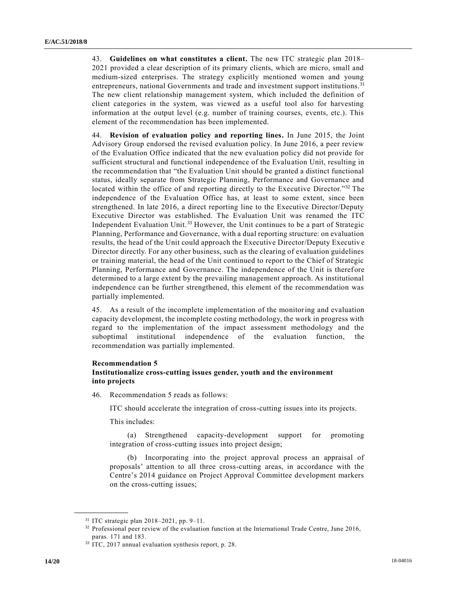43. **Guidelines on what constitutes a client.** The new ITC strategic plan 2018– 2021 provided a clear description of its primary clients, which are micro, small and medium-sized enterprises. The strategy explicitly mentioned women and young entrepreneurs, national Governments and trade and investment support institutions.<sup>31</sup> The new client relationship management system, which included the definition of client categories in the system, was viewed as a useful tool also for harvesting information at the output level (e.g. number of training courses, events, etc.). This element of the recommendation has been implemented.

44. **Revision of evaluation policy and reporting lines.** In June 2015, the Joint Advisory Group endorsed the revised evaluation policy. In June 2016, a peer review of the Evaluation Office indicated that the new evaluation policy did not provide for sufficient structural and functional independence of the Evaluation Unit, resulting in the recommendation that "the Evaluation Unit should be granted a distinct functional status, ideally separate from Strategic Planning, Performance and Governance and located within the office of and reporting directly to the Executive Director."<sup>32</sup> The independence of the Evaluation Office has, at least to some extent, since been strengthened. In late 2016, a direct reporting line to the Executive Director/Deputy Executive Director was established. The Evaluation Unit was renamed the ITC Independent Evaluation Unit.<sup>33</sup> However, the Unit continues to be a part of Strategic Planning, Performance and Governance, with a dual reporting structure: on evaluation results, the head of the Unit could approach the Executive Director/Deputy Executiv e Director directly. For any other business, such as the clearing of evaluation guidelines or training material, the head of the Unit continued to report to the Chief of Strategic Planning, Performance and Governance. The independence of the Unit is therefore determined to a large extent by the prevailing management approach. As institutional independence can be further strengthened, this element of the recommendation was partially implemented.

45. As a result of the incomplete implementation of the monitoring and evaluation capacity development, the incomplete costing methodology, the work in progress with regard to the implementation of the impact assessment methodology and the suboptimal institutional independence of the evaluation function, the recommendation was partially implemented.

#### **Recommendation 5**

### **Institutionalize cross-cutting issues gender, youth and the environment into projects**

46. Recommendation 5 reads as follows:

ITC should accelerate the integration of cross-cutting issues into its projects.

This includes:

(a) Strengthened capacity-development support for promoting integration of cross-cutting issues into project design;

(b) Incorporating into the project approval process an appraisal of proposals' attention to all three cross-cutting areas, in accordance with the Centre's 2014 guidance on Project Approval Committee development markers on the cross-cutting issues;

<sup>31</sup> ITC strategic plan 2018–2021, pp. 9–11.

<sup>&</sup>lt;sup>32</sup> Professional peer review of the evaluation function at the International Trade Centre, June 2016, paras. 171 and 183.

<sup>33</sup> ITC, 2017 annual evaluation synthesis report, p. 28.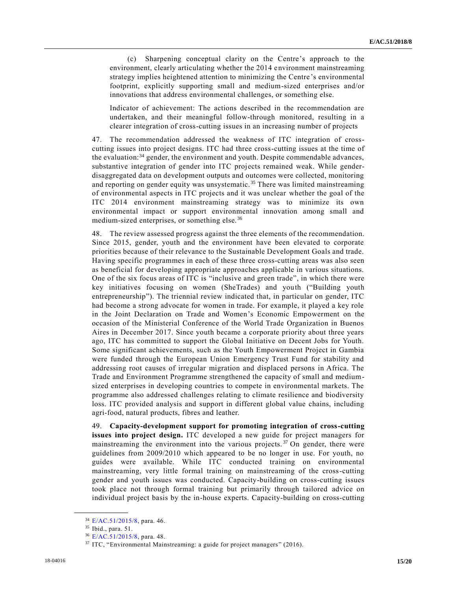(c) Sharpening conceptual clarity on the Centre's approach to the environment, clearly articulating whether the 2014 environment mainstreaming strategy implies heightened attention to minimizing the Centre 's environmental footprint, explicitly supporting small and medium-sized enterprises and/or innovations that address environmental challenges, or something else.

Indicator of achievement: The actions described in the recommendation are undertaken, and their meaningful follow-through monitored, resulting in a clearer integration of cross-cutting issues in an increasing number of projects

47. The recommendation addressed the weakness of ITC integration of crosscutting issues into project designs. ITC had three cross-cutting issues at the time of the evaluation:<sup>34</sup> gender, the environment and youth. Despite commendable advances, substantive integration of gender into ITC projects remained weak. While genderdisaggregated data on development outputs and outcomes were collected, monitoring and reporting on gender equity was unsystematic.<sup>35</sup> There was limited mainstreaming of environmental aspects in ITC projects and it was unclear whether the goal of the ITC 2014 environment mainstreaming strategy was to minimize its own environmental impact or support environmental innovation among small and medium-sized enterprises, or something else.<sup>36</sup>

48. The review assessed progress against the three elements of the recommendation. Since 2015, gender, youth and the environment have been elevated to corporate priorities because of their relevance to the Sustainable Development Goals and trade. Having specific programmes in each of these three cross-cutting areas was also seen as beneficial for developing appropriate approaches applicable in various situations. One of the six focus areas of ITC is "inclusive and green trade", in which there were key initiatives focusing on women (SheTrades) and youth ("Building youth entrepreneurship"). The triennial review indicated that, in particular on gender, ITC had become a strong advocate for women in trade. For example, it played a key role in the Joint Declaration on Trade and Women's Economic Empowerment on the occasion of the Ministerial Conference of the World Trade Organization in Buenos Aires in December 2017. Since youth became a corporate priority about three years ago, ITC has committed to support the Global Initiative on Decent Jobs for Youth. Some significant achievements, such as the Youth Empowerment Project in Gambia were funded through the European Union Emergency Trust Fund for stability and addressing root causes of irregular migration and displaced persons in Africa. The Trade and Environment Programme strengthened the capacity of small and mediumsized enterprises in developing countries to compete in environmental markets. The programme also addressed challenges relating to climate resilience and biodiversity loss. ITC provided analysis and support in different global value chains, including agri-food, natural products, fibres and leather.

49. **Capacity-development support for promoting integration of cross-cutting issues into project design.** ITC developed a new guide for project managers for mainstreaming the environment into the various projects.<sup>37</sup> On gender, there were guidelines from 2009/2010 which appeared to be no longer in use. For youth, no guides were available. While ITC conducted training on environmental mainstreaming, very little formal training on mainstreaming of the cross-cutting gender and youth issues was conducted. Capacity-building on cross-cutting issues took place not through formal training but primarily through tailored advice on individual project basis by the in-house experts. Capacity-building on cross-cutting

<sup>34</sup> [E/AC.51/2015/8,](https://undocs.org/E/AC.51/2015/8) para. 46.

<sup>35</sup> Ibid., para. 51.

<sup>36</sup> [E/AC.51/2015/8,](https://undocs.org/E/AC.51/2015/8) para. 48.

<sup>&</sup>lt;sup>37</sup> ITC, "Environmental Mainstreaming: a guide for project managers" (2016).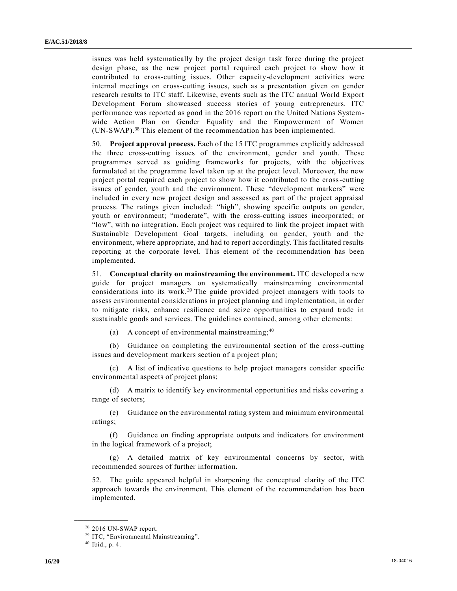issues was held systematically by the project design task force during the project design phase, as the new project portal required each project to show how it contributed to cross-cutting issues. Other capacity-development activities were internal meetings on cross-cutting issues, such as a presentation given on gender research results to ITC staff. Likewise, events such as the ITC annual World Export Development Forum showcased success stories of young entrepreneurs. ITC performance was reported as good in the 2016 report on the United Nations Systemwide Action Plan on Gender Equality and the Empowerment of Women (UN-SWAP).<sup>38</sup> This element of the recommendation has been implemented.

50. **Project approval process.** Each of the 15 ITC programmes explicitly addressed the three cross-cutting issues of the environment, gender and youth. These programmes served as guiding frameworks for projects, with the objectives formulated at the programme level taken up at the project level. Moreover, the new project portal required each project to show how it contributed to the cross-cutting issues of gender, youth and the environment. These "development markers" were included in every new project design and assessed as part of the project appraisal process. The ratings given included: "high", showing specific outputs on gender, youth or environment; "moderate", with the cross-cutting issues incorporated; or "low", with no integration. Each project was required to link the project impact with Sustainable Development Goal targets, including on gender, youth and the environment, where appropriate, and had to report accordingly. This facilitated results reporting at the corporate level. This element of the recommendation has been implemented.

51. **Conceptual clarity on mainstreaming the environment.** ITC developed a new guide for project managers on systematically mainstreaming environmental considerations into its work.<sup>39</sup> The guide provided project managers with tools to assess environmental considerations in project planning and implementation, in order to mitigate risks, enhance resilience and seize opportunities to expand trade in sustainable goods and services. The guidelines contained, among other elements:

(a) A concept of environmental mainstreaming; <sup>40</sup>

(b) Guidance on completing the environmental section of the cross-cutting issues and development markers section of a project plan;

(c) A list of indicative questions to help project managers consider specific environmental aspects of project plans;

(d) A matrix to identify key environmental opportunities and risks covering a range of sectors;

(e) Guidance on the environmental rating system and minimum environmental ratings;

(f) Guidance on finding appropriate outputs and indicators for environment in the logical framework of a project;

(g) A detailed matrix of key environmental concerns by sector, with recommended sources of further information.

52. The guide appeared helpful in sharpening the conceptual clarity of the ITC approach towards the environment. This element of the recommendation has been implemented.

<sup>38</sup> 2016 UN-SWAP report.

<sup>&</sup>lt;sup>39</sup> ITC, "Environmental Mainstreaming".

 $40$  Ibid., p. 4.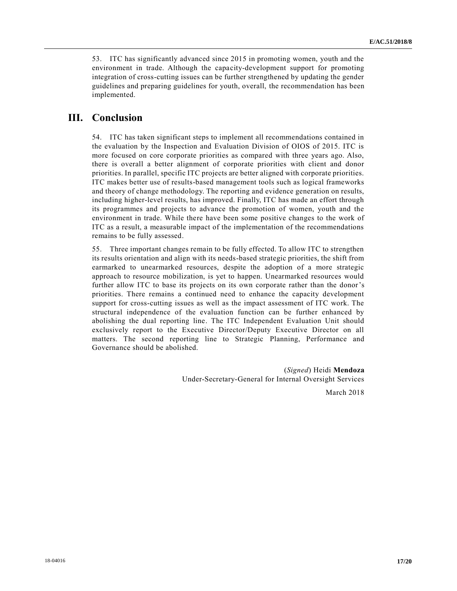53. ITC has significantly advanced since 2015 in promoting women, youth and the environment in trade. Although the capacity-development support for promoting integration of cross-cutting issues can be further strengthened by updating the gender guidelines and preparing guidelines for youth, overall, the recommendation has been implemented.

## **III. Conclusion**

54. ITC has taken significant steps to implement all recommendations contained in the evaluation by the Inspection and Evaluation Division of OIOS of 2015. ITC is more focused on core corporate priorities as compared with three years ago. Also, there is overall a better alignment of corporate priorities with client and donor priorities. In parallel, specific ITC projects are better aligned with corporate priorities. ITC makes better use of results-based management tools such as logical frameworks and theory of change methodology. The reporting and evidence generation on results, including higher-level results, has improved. Finally, ITC has made an effort through its programmes and projects to advance the promotion of women, youth and the environment in trade. While there have been some positive changes to the work of ITC as a result, a measurable impact of the implementation of the recommendations remains to be fully assessed.

55. Three important changes remain to be fully effected. To allow ITC to strengthen its results orientation and align with its needs-based strategic priorities, the shift from earmarked to unearmarked resources, despite the adoption of a more strategic approach to resource mobilization, is yet to happen. Unearmarked resources would further allow ITC to base its projects on its own corporate rather than the donor's priorities. There remains a continued need to enhance the capacity development support for cross-cutting issues as well as the impact assessment of ITC work. The structural independence of the evaluation function can be further enhanced by abolishing the dual reporting line. The ITC Independent Evaluation Unit should exclusively report to the Executive Director/Deputy Executive Director on all matters. The second reporting line to Strategic Planning, Performance and Governance should be abolished.

> (*Signed*) Heidi **Mendoza** Under-Secretary-General for Internal Oversight Services

> > March 2018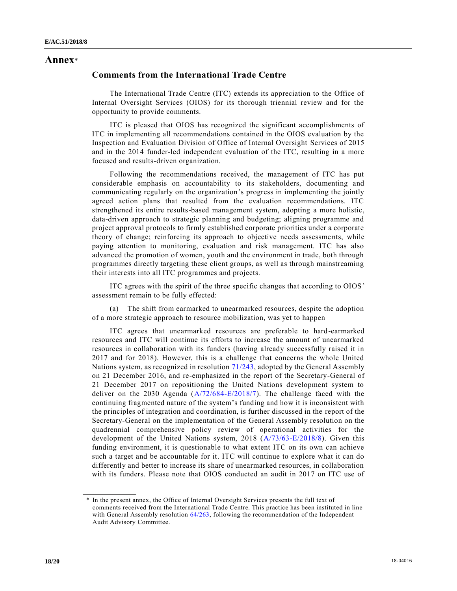## **Annex**\*

## **Comments from the International Trade Centre**

The International Trade Centre (ITC) extends its appreciation to the Office of Internal Oversight Services (OIOS) for its thorough triennial review and for the opportunity to provide comments.

ITC is pleased that OIOS has recognized the significant accomplishments of ITC in implementing all recommendations contained in the OIOS evaluation by the Inspection and Evaluation Division of Office of Internal Oversight Services of 2015 and in the 2014 funder-led independent evaluation of the ITC, resulting in a more focused and results-driven organization.

Following the recommendations received, the management of ITC has put considerable emphasis on accountability to its stakeholders, documenting and communicating regularly on the organization's progress in implementing the jointly agreed action plans that resulted from the evaluation recommendations. ITC strengthened its entire results-based management system, adopting a more holistic, data-driven approach to strategic planning and budgeting; aligning programme and project approval protocols to firmly established corporate priorities under a corporate theory of change; reinforcing its approach to objective needs assessme nts, while paying attention to monitoring, evaluation and risk management. ITC has also advanced the promotion of women, youth and the environment in trade, both through programmes directly targeting these client groups, as well as through mainstreaming their interests into all ITC programmes and projects.

ITC agrees with the spirit of the three specific changes that according to OIOS' assessment remain to be fully effected:

(a) The shift from earmarked to unearmarked resources, despite the adoption of a more strategic approach to resource mobilization, was yet to happen

ITC agrees that unearmarked resources are preferable to hard-earmarked resources and ITC will continue its efforts to increase the amount of unearmarked resources in collaboration with its funders (having already successfully raised it in 2017 and for 2018). However, this is a challenge that concerns the whole United Nations system, as recognized in resolution [71/243,](https://undocs.org/A/RES/71/243) adopted by the General Assembly on 21 December 2016, and re-emphasized in the report of the Secretary-General of 21 December 2017 on repositioning the United Nations development system to deliver on the 2030 Agenda [\(A/72/684-E/2018/7\)](https://undocs.org/A/72/684). The challenge faced with the continuing fragmented nature of the system's funding and how it is inconsistent with the principles of integration and coordination, is further discussed in the report of the Secretary-General on the implementation of the General Assembly resolution on the quadrennial comprehensive policy review of operational activities for the development of the United Nations system, 2018 [\(A/73/63-E/2018/8\)](https://undocs.org/A/73/63–E/2018/8). Given this funding environment, it is questionable to what extent ITC on its own can achieve such a target and be accountable for it. ITC will continue to explore what it can do differently and better to increase its share of unearmarked resources, in collaboration with its funders. Please note that OIOS conducted an audit in 2017 on ITC use of

<sup>\*</sup> In the present annex, the Office of Internal Oversight Services presents the full text of comments received from the International Trade Centre. This practice has been instituted in line with General Assembly resolution [64/263,](https://undocs.org/A/RES/64/263) following the recommendation of the Independent Audit Advisory Committee.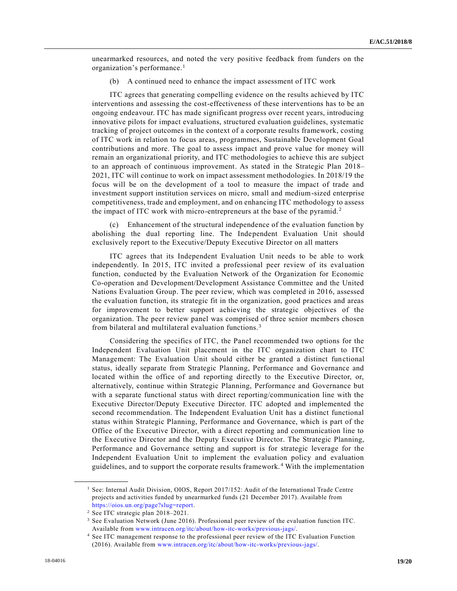unearmarked resources, and noted the very positive feedback from funders on the organization's performance.<sup>1</sup>

(b) A continued need to enhance the impact assessment of ITC work

ITC agrees that generating compelling evidence on the results achieved by ITC interventions and assessing the cost-effectiveness of these interventions has to be an ongoing endeavour. ITC has made significant progress over recent years, introducing innovative pilots for impact evaluations, structured evaluation guidelines, systematic tracking of project outcomes in the context of a corporate results framework, costing of ITC work in relation to focus areas, programmes, Sustainable Development Goal contributions and more. The goal to assess impact and prove value for money will remain an organizational priority, and ITC methodologies to achieve this are subject to an approach of continuous improvement. As stated in the Strategic Plan 2018– 2021, ITC will continue to work on impact assessment methodologies. In 2018/19 the focus will be on the development of a tool to measure the impact of trade and investment support institution services on micro, small and medium-sized enterprise competitiveness, trade and employment, and on enhancing ITC methodology to assess the impact of ITC work with micro-entrepreneurs at the base of the pyramid. <sup>2</sup>

(c) Enhancement of the structural independence of the evaluation function by abolishing the dual reporting line. The Independent Evaluation Unit should exclusively report to the Executive/Deputy Executive Director on all matters

ITC agrees that its Independent Evaluation Unit needs to be able to work independently. In 2015, ITC invited a professional peer review of its evaluation function, conducted by the Evaluation Network of the Organization for Economic Co-operation and Development/Development Assistance Committee and the United Nations Evaluation Group. The peer review, which was completed in 2016, assessed the evaluation function, its strategic fit in the organization, good practices and areas for improvement to better support achieving the strategic objectives of the organization. The peer review panel was comprised of three senior members chosen from bilateral and multilateral evaluation functions.<sup>3</sup>

Considering the specifics of ITC, the Panel recommended two options for the Independent Evaluation Unit placement in the ITC organization chart to ITC Management: The Evaluation Unit should either be granted a distinct functional status, ideally separate from Strategic Planning, Performance and Governance and located within the office of and reporting directly to the Executive Director, or, alternatively, continue within Strategic Planning, Performance and Governance but with a separate functional status with direct reporting/communication line with the Executive Director/Deputy Executive Director. ITC adopted and implemented the second recommendation. The Independent Evaluation Unit has a distinct functional status within Strategic Planning, Performance and Governance, which is part of the Office of the Executive Director, with a direct reporting and communication line to the Executive Director and the Deputy Executive Director. The Strategic Planning, Performance and Governance setting and support is for strategic leverage for the Independent Evaluation Unit to implement the evaluation policy and evaluation guidelines, and to support the corporate results framework. <sup>4</sup> With the implementation

<sup>&</sup>lt;sup>1</sup> See: Internal Audit Division, OIOS, Report  $2017/152$ : Audit of the International Trade Centre projects and activities funded by unearmarked funds (21 December 2017). Available from [https://oios.un.org/page?slug=report.](https://oios.un.org/page?slug=report)

<sup>2</sup> See ITC strategic plan 2018–2021.

<sup>3</sup> See Evaluation Network (June 2016). Professional peer review of the evaluation function ITC. Available from [www.intracen.org/itc/about/how-itc-works/previous-jags/.](http://www.intracen.org/itc/about/how-itc-works/previous-jags/)

<sup>4</sup> See ITC management response to the professional peer review of the ITC Evaluation Function (2016). Available from [www.intracen.org/itc/about/how-itc-works/previous-jags/.](http://www.intracen.org/itc/about/how-itc-works/previous-jags/)